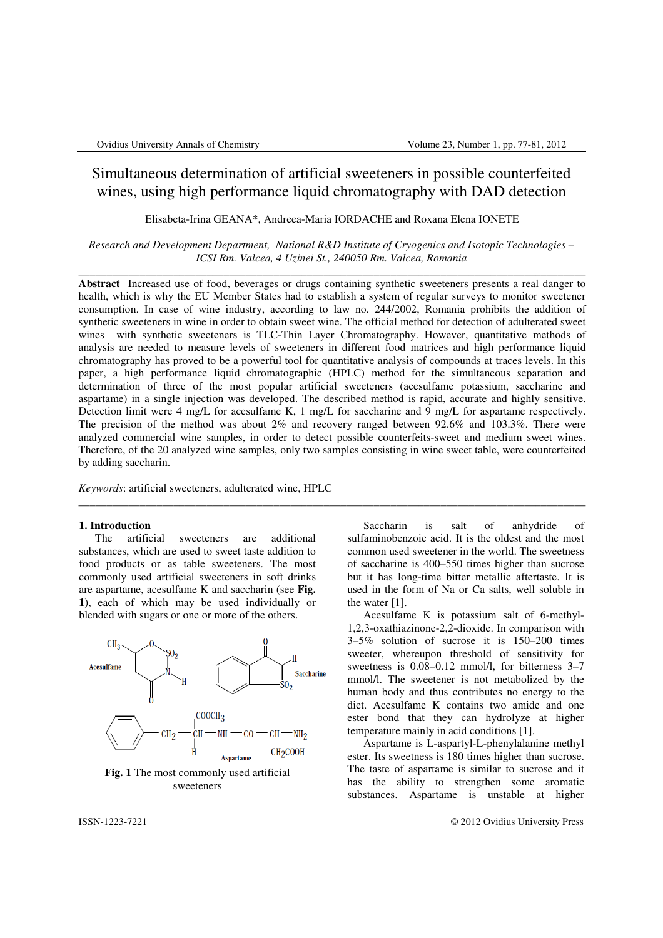# Simultaneous determination of artificial sweeteners in possible counterfeited wines, using high performance liquid chromatography with DAD detection

Elisabeta-Irina GEANA\*, Andreea-Maria IORDACHE and Roxana Elena IONETE

*Research and Development Department, National R&D Institute of Cryogenics and Isotopic Technologies – ICSI Rm. Valcea, 4 Uzinei St., 240050 Rm. Valcea, Romania*  \_\_\_\_\_\_\_\_\_\_\_\_\_\_\_\_\_\_\_\_\_\_\_\_\_\_\_\_\_\_\_\_\_\_\_\_\_\_\_\_\_\_\_\_\_\_\_\_\_\_\_\_\_\_\_\_\_\_\_\_\_\_\_\_\_\_\_\_\_\_\_\_\_\_\_\_\_\_\_\_\_\_\_\_\_\_\_\_\_\_\_

**Abstract** Increased use of food, beverages or drugs containing synthetic sweeteners presents a real danger to health, which is why the EU Member States had to establish a system of regular surveys to monitor sweetener consumption. In case of wine industry, according to law no. 244/2002, Romania prohibits the addition of synthetic sweeteners in wine in order to obtain sweet wine. The official method for detection of adulterated sweet wines with synthetic sweeteners is TLC-Thin Layer Chromatography. However, quantitative methods of analysis are needed to measure levels of sweeteners in different food matrices and high performance liquid chromatography has proved to be a powerful tool for quantitative analysis of compounds at traces levels. In this paper, a high performance liquid chromatographic (HPLC) method for the simultaneous separation and determination of three of the most popular artificial sweeteners (acesulfame potassium, saccharine and aspartame) in a single injection was developed. The described method is rapid, accurate and highly sensitive. Detection limit were 4 mg/L for acesulfame K, 1 mg/L for saccharine and 9 mg/L for aspartame respectively. The precision of the method was about 2% and recovery ranged between 92.6% and 103.3%. There were analyzed commercial wine samples, in order to detect possible counterfeits-sweet and medium sweet wines. Therefore, of the 20 analyzed wine samples, only two samples consisting in wine sweet table, were counterfeited by adding saccharin.

\_\_\_\_\_\_\_\_\_\_\_\_\_\_\_\_\_\_\_\_\_\_\_\_\_\_\_\_\_\_\_\_\_\_\_\_\_\_\_\_\_\_\_\_\_\_\_\_\_\_\_\_\_\_\_\_\_\_\_\_\_\_\_\_\_\_\_\_\_\_\_\_\_\_\_\_\_\_\_\_\_\_\_\_\_\_\_\_\_\_\_

*Keywords*: artificial sweeteners, adulterated wine, HPLC

#### **1. Introduction**

The artificial sweeteners are additional substances, which are used to sweet taste addition to food products or as table sweeteners. The most commonly used artificial sweeteners in soft drinks are aspartame, acesulfame K and saccharin (see **Fig. 1**), each of which may be used individually or blended with sugars or one or more of the others.



**Fig. 1** The most commonly used artificial sweeteners

Saccharin is salt of anhydride of sulfaminobenzoic acid. It is the oldest and the most common used sweetener in the world. The sweetness of saccharine is 400–550 times higher than sucrose but it has long-time bitter metallic aftertaste. It is used in the form of Na or Ca salts, well soluble in the water [1].

Acesulfame K is potassium salt of 6-methyl-1,2,3-oxathiazinone-2,2-dioxide. In comparison with 3–5% solution of sucrose it is 150–200 times sweeter, whereupon threshold of sensitivity for sweetness is 0.08–0.12 mmol/l, for bitterness 3–7 mmol/l. The sweetener is not metabolized by the human body and thus contributes no energy to the diet. Acesulfame K contains two amide and one ester bond that they can hydrolyze at higher temperature mainly in acid conditions [1].

Aspartame is L-aspartyl-L-phenylalanine methyl ester. Its sweetness is 180 times higher than sucrose. The taste of aspartame is similar to sucrose and it has the ability to strengthen some aromatic substances. Aspartame is unstable at higher

ISSN-1223-7221 © 2012 Ovidius University Press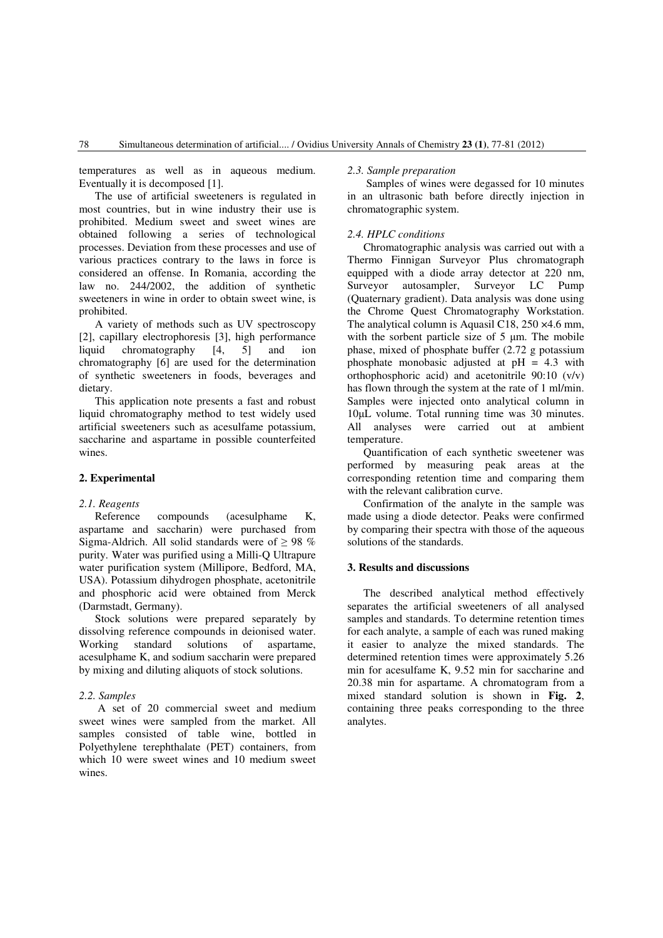temperatures as well as in aqueous medium. Eventually it is decomposed [1].

The use of artificial sweeteners is regulated in most countries, but in wine industry their use is prohibited. Medium sweet and sweet wines are obtained following a series of technological processes. Deviation from these processes and use of various practices contrary to the laws in force is considered an offense. In Romania, according the law no. 244/2002, the addition of synthetic sweeteners in wine in order to obtain sweet wine, is prohibited.

A variety of methods such as UV spectroscopy [2], capillary electrophoresis [3], high performance liquid chromatography [4, 5] and ion chromatography [6] are used for the determination of synthetic sweeteners in foods, beverages and dietary.

This application note presents a fast and robust liquid chromatography method to test widely used artificial sweeteners such as acesulfame potassium, saccharine and aspartame in possible counterfeited wines.

## **2. Experimental**

## *2.1. Reagents*

Reference compounds (acesulphame K, aspartame and saccharin) were purchased from Sigma-Aldrich. All solid standards were of  $\geq$  98 % purity. Water was purified using a Milli-Q Ultrapure water purification system (Millipore, Bedford, MA, USA). Potassium dihydrogen phosphate, acetonitrile and phosphoric acid were obtained from Merck (Darmstadt, Germany).

Stock solutions were prepared separately by dissolving reference compounds in deionised water. Working standard solutions of aspartame, acesulphame K, and sodium saccharin were prepared by mixing and diluting aliquots of stock solutions.

#### *2.2. Samples*

A set of 20 commercial sweet and medium sweet wines were sampled from the market. All samples consisted of table wine, bottled in Polyethylene terephthalate (PET) containers, from which 10 were sweet wines and 10 medium sweet wines.

#### *2.3. Sample preparation*

Samples of wines were degassed for 10 minutes in an ultrasonic bath before directly injection in chromatographic system.

### *2.4. HPLC conditions*

Chromatographic analysis was carried out with a Thermo Finnigan Surveyor Plus chromatograph equipped with a diode array detector at 220 nm, Surveyor autosampler, Surveyor LC Pump (Quaternary gradient). Data analysis was done using the Chrome Quest Chromatography Workstation. The analytical column is Aquasil C18, 250 ×4.6 mm, with the sorbent particle size of 5 µm. The mobile phase, mixed of phosphate buffer (2.72 g potassium phosphate monobasic adjusted at  $pH = 4.3$  with orthophosphoric acid) and acetonitrile 90:10 (v/v) has flown through the system at the rate of 1 ml/min. Samples were injected onto analytical column in 10µL volume. Total running time was 30 minutes. All analyses were carried out at ambient temperature.

Quantification of each synthetic sweetener was performed by measuring peak areas at the corresponding retention time and comparing them with the relevant calibration curve.

Confirmation of the analyte in the sample was made using a diode detector. Peaks were confirmed by comparing their spectra with those of the aqueous solutions of the standards.

## **3. Results and discussions**

The described analytical method effectively separates the artificial sweeteners of all analysed samples and standards. To determine retention times for each analyte, a sample of each was runed making it easier to analyze the mixed standards. The determined retention times were approximately 5.26 min for acesulfame K, 9.52 min for saccharine and 20.38 min for aspartame. A chromatogram from a mixed standard solution is shown in **Fig. 2**, containing three peaks corresponding to the three analytes.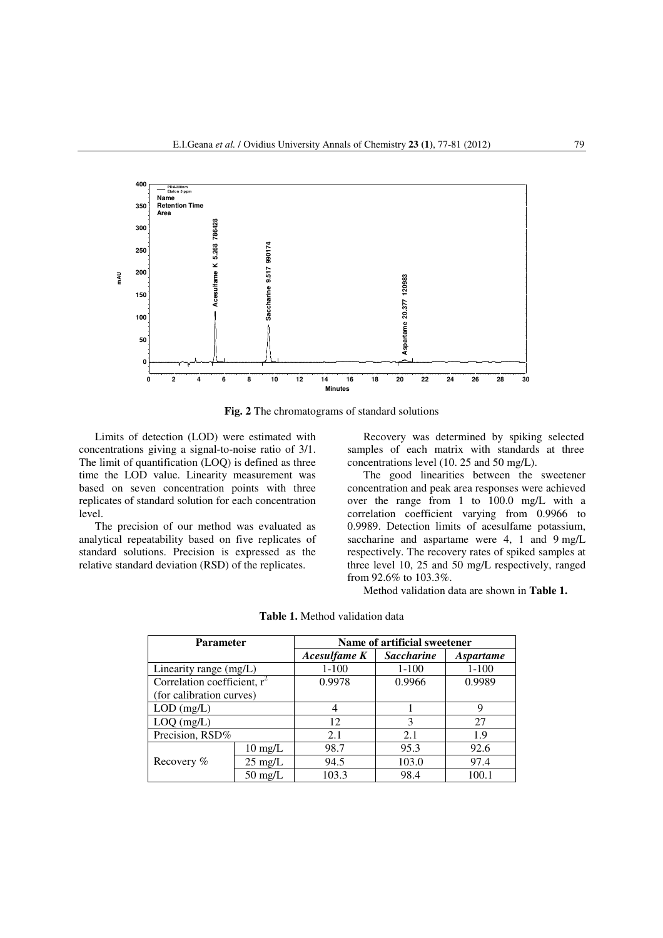

**Fig. 2** The chromatograms of standard solutions

Limits of detection (LOD) were estimated with concentrations giving a signal-to-noise ratio of 3/1. The limit of quantification (LOQ) is defined as three time the LOD value. Linearity measurement was based on seven concentration points with three replicates of standard solution for each concentration level.

The precision of our method was evaluated as analytical repeatability based on five replicates of standard solutions. Precision is expressed as the relative standard deviation (RSD) of the replicates.

Recovery was determined by spiking selected samples of each matrix with standards at three concentrations level (10. 25 and 50 mg/L).

The good linearities between the sweetener concentration and peak area responses were achieved over the range from 1 to 100.0 mg/L with a correlation coefficient varying from 0.9966 to 0.9989. Detection limits of acesulfame potassium, saccharine and aspartame were 4, 1 and 9 mg/L respectively. The recovery rates of spiked samples at three level 10, 25 and 50 mg/L respectively, ranged from 92.6% to 103.3%.

Method validation data are shown in **Table 1.**

| <b>Parameter</b>               |                   | Name of artificial sweetener |                   |                  |
|--------------------------------|-------------------|------------------------------|-------------------|------------------|
|                                |                   | Acesulfame K                 | <b>Saccharine</b> | <i>Aspartame</i> |
| Linearity range (mg/L)         |                   | $1 - 100$                    | $1 - 100$         | $1 - 100$        |
| Correlation coefficient, $r^2$ |                   | 0.9978                       | 0.9966            | 0.9989           |
| (for calibration curves)       |                   |                              |                   |                  |
| $LOD$ (mg/L)                   |                   | $\overline{4}$               |                   | 9                |
| $LOQ$ (mg/L)                   |                   | 12                           | 3                 | 27               |
| Precision, RSD%                |                   | 2.1                          | 2.1               | 1.9              |
| Recovery %                     | $10 \text{ mg/L}$ | 98.7                         | 95.3              | 92.6             |
|                                | $25 \text{ mg/L}$ | 94.5                         | 103.0             | 97.4             |
|                                | $50 \text{ mg/L}$ | 103.3                        | 98.4              | 100.1            |

**Table 1.** Method validation data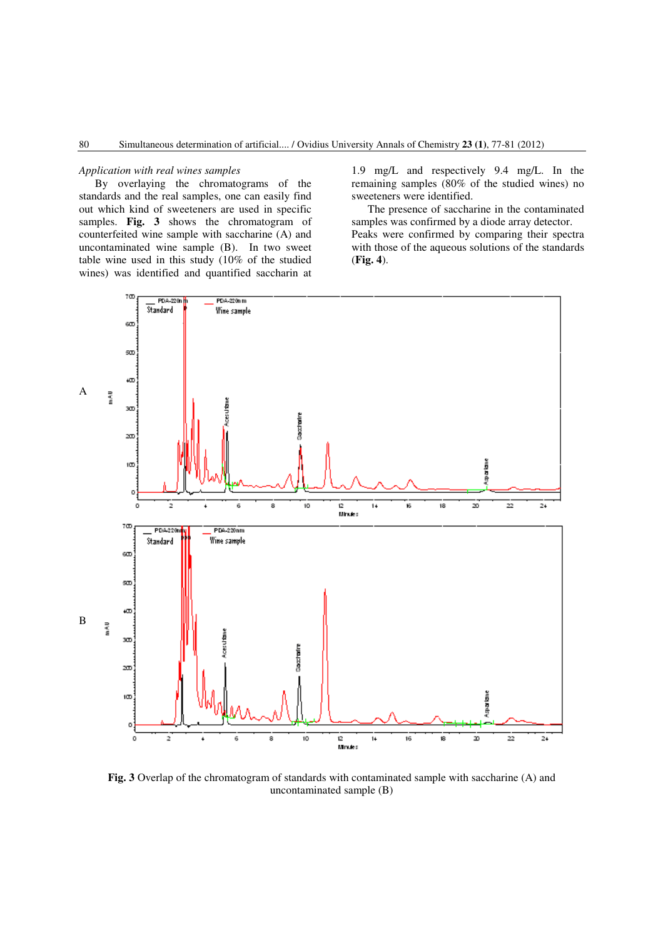#### *Application with real wines samples*

By overlaying the chromatograms of the standards and the real samples, one can easily find out which kind of sweeteners are used in specific samples. **Fig. 3** shows the chromatogram of counterfeited wine sample with saccharine (A) and uncontaminated wine sample (B). In two sweet table wine used in this study (10% of the studied wines) was identified and quantified saccharin at 1.9 mg/L and respectively 9.4 mg/L. In the remaining samples (80% of the studied wines) no sweeteners were identified.

The presence of saccharine in the contaminated samples was confirmed by a diode array detector. Peaks were confirmed by comparing their spectra with those of the aqueous solutions of the standards (**Fig. 4**).



**Fig. 3** Overlap of the chromatogram of standards with contaminated sample with saccharine (A) and uncontaminated sample (B)